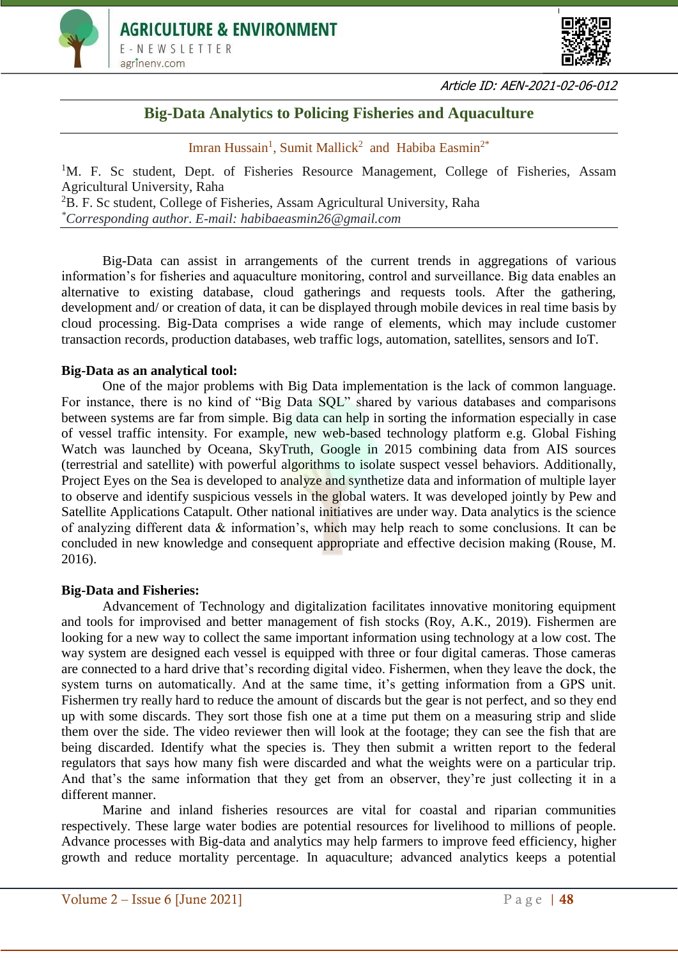



Article ID: AEN-2021-02-06-012

# **Big-Data Analytics to Policing Fisheries and Aquaculture**

Imran Hussain<sup>1</sup>, Sumit Mallick<sup>2</sup> and Habiba Easmin<sup>2\*</sup>

 ${}^{1}$ M. F. Sc student, Dept. of Fisheries Resource Management, College of Fisheries, Assam Agricultural University, Raha <sup>2</sup>B. F. Sc student, College of Fisheries, Assam Agricultural University, Raha *\*Corresponding author. E-mail: habibaeasmin26@gmail.com*

Big-Data can assist in arrangements of the current trends in aggregations of various information's for fisheries and aquaculture monitoring, control and surveillance. Big data enables an alternative to existing database, cloud gatherings and requests tools. After the gathering, development and/ or creation of data, it can be displayed through mobile devices in real time basis by cloud processing. Big-Data comprises a wide range of elements, which may include customer transaction records, production databases, web traffic logs, automation, satellites, sensors and IoT.

## **Big-Data as an analytical tool:**

One of the major problems with Big Data implementation is the lack of common language. For instance, there is no kind of "Big Data SQL" shared by various databases and comparisons between systems are far from simple. Big data can help in sorting the information especially in case of vessel traffic intensity. For example, new web-based technology platform e.g. Global Fishing Watch was launched by Oceana, SkyTruth, Google in 2015 combining data from AIS sources (terrestrial and satellite) with powerful algorithms to isolate suspect vessel behaviors. Additionally, Project Eyes on the Sea is developed to analyze and synthetize data and information of multiple layer to observe and identify suspicious vessels in the global waters. It was developed jointly by Pew and Satellite Applications Catapult. Other national initiatives are under way. Data analytics is the science of analyzing different data & information's, which may help reach to some conclusions. It can be concluded in new knowledge and consequent appropriate and effective decision making (Rouse, M. 2016).

#### **Big-Data and Fisheries:**

Advancement of Technology and digitalization facilitates innovative monitoring equipment and tools for improvised and better management of fish stocks (Roy, A.K., 2019). Fishermen are looking for a new way to collect the same important information using technology at a low cost. The way system are designed each vessel is equipped with three or four digital cameras. Those cameras are connected to a hard drive that's recording digital video. Fishermen, when they leave the dock, the system turns on automatically. And at the same time, it's getting information from a GPS unit. Fishermen try really hard to reduce the amount of discards but the gear is not perfect, and so they end up with some discards. They sort those fish one at a time put them on a measuring strip and slide them over the side. The video reviewer then will look at the footage; they can see the fish that are being discarded. Identify what the species is. They then submit a written report to the federal regulators that says how many fish were discarded and what the weights were on a particular trip. And that's the same information that they get from an observer, they're just collecting it in a different manner.

Marine and inland fisheries resources are vital for coastal and riparian communities respectively. These large water bodies are potential resources for livelihood to millions of people. Advance processes with Big-data and analytics may help farmers to improve feed efficiency, higher growth and reduce mortality percentage. In aquaculture; advanced analytics keeps a potential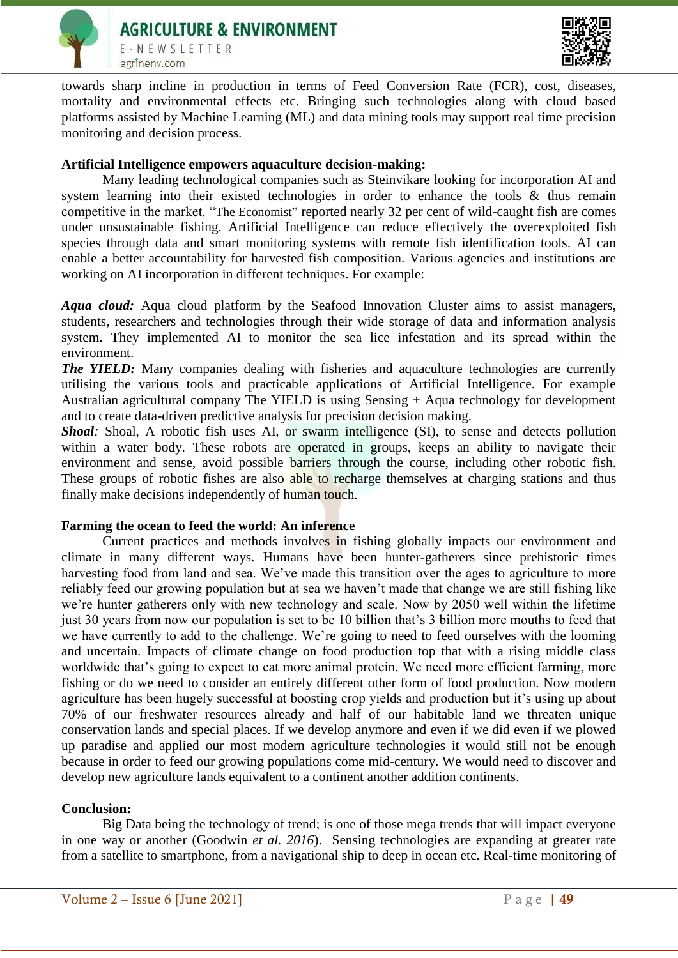



towards sharp incline in production in terms of Feed Conversion Rate (FCR), cost, diseases, mortality and environmental effects etc. Bringing such technologies along with cloud based platforms assisted by Machine Learning (ML) and data mining tools may support real time precision monitoring and decision process.

#### **Artificial Intelligence empowers aquaculture decision-making:**

Many leading technological companies such as Steinvikare looking for incorporation AI and system learning into their existed technologies in order to enhance the tools & thus remain competitive in the market. "[The Economist"](https://www.economist.com/news/briefing/21722629-oceans-face-dire-threats-better-regulated-fisheries-would-help-getting-serious-about) reported nearly 32 per cent of wild-caught fish are comes under unsustainable fishing. Artificial Intelligence can reduce effectively the overexploited fish species through data and smart monitoring systems with remote fish identification tools. AI can enable a better accountability for harvested fish composition. Various agencies and institutions are working on AI incorporation in different techniques. For example:

*Aqua cloud:* Aqua cloud platform by the Seafood Innovation Cluster aims to assist managers, students, researchers and technologies through their wide storage of data and information analysis system. They implemented AI to monitor the sea lice infestation and its spread within the environment.

*The YIELD:* Many companies dealing with fisheries and aquaculture technologies are currently utilising the various tools and practicable applications of Artificial Intelligence. For example Australian agricultural company The YIELD is using Sensing + Aqua technology for development and to create data-driven predictive analysis for precision decision making.

*Shoal:* Shoal, A robotic fish uses AI, or swarm intelligence (SI), to sense and detects pollution within a water body. These robots are operated in groups, keeps an ability to navigate their environment and sense, avoid possible barriers through the course, including other robotic fish. These groups of robotic fishes are also able to recharge themselves at charging stations and thus finally make decisions independently of human touch.

#### **Farming the ocean to feed the world: An inference**

Current practices and methods involves in fishing globally impacts our environment and climate in many different ways. Humans have been hunter-gatherers since prehistoric times harvesting food from land and sea. We've made this transition over the ages to agriculture to more reliably feed our growing population but at sea we haven't made that change we are still fishing like we're hunter gatherers only with new technology and scale. Now by 2050 well within the lifetime just 30 years from now our population is set to be 10 billion that's 3 billion more mouths to feed that we have currently to add to the challenge. We're going to need to feed ourselves with the looming and uncertain. Impacts of climate change on food production top that with a rising middle class worldwide that's going to expect to eat more animal protein. We need more efficient farming, more fishing or do we need to consider an entirely different other form of food production. Now modern agriculture has been hugely successful at boosting crop yields and production but it's using up about 70% of our freshwater resources already and half of our habitable land we threaten unique conservation lands and special places. If we develop anymore and even if we did even if we plowed up paradise and applied our most modern agriculture technologies it would still not be enough because in order to feed our growing populations come mid-century. We would need to discover and develop new agriculture lands equivalent to a continent another addition continents.

# **Conclusion:**

Big Data being the technology of trend; is one of those mega trends that will impact everyone in one way or another (Goodwin *et al. 2016*). Sensing technologies are expanding at greater rate from a satellite to smartphone, from a navigational ship to deep in ocean etc. Real-time monitoring of